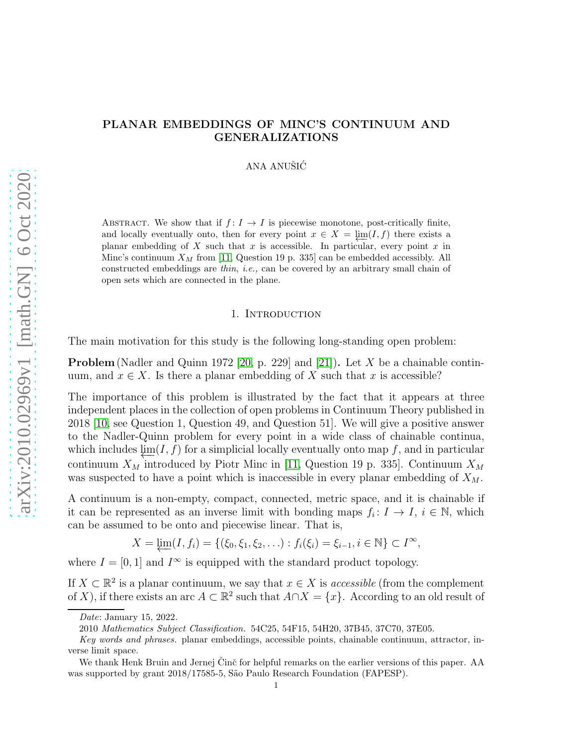# arXiv:2010.02969v1 [math.GN] 6 Oct 2020 [arXiv:2010.02969v1 \[math.GN\] 6 Oct 2020](http://arxiv.org/abs/2010.02969v1)

# PLANAR EMBEDDINGS OF MINC'S CONTINUUM AND GENERALIZATIONS

ANA ANUŠIĆ

ABSTRACT. We show that if  $f: I \to I$  is piecewise monotone, post-critically finite, and locally eventually onto, then for every point  $x \in X = \lim(I, f)$  there exists a planar embedding of X such that x is accessible. In particular, every point x in Minc's continuum  $X_M$  from [\[11,](#page-14-0) Question 19 p. 335] can be embedded accessibly. All constructed embeddings are *thin*, *i.e.,* can be covered by an arbitrary small chain of open sets which are connected in the plane.

### 1. INTRODUCTION

The main motivation for this study is the following long-standing open problem:

**Problem** (Nadler and Quinn 1972 [\[20,](#page-14-1) p. 229] and [\[21\]](#page-14-2)). Let X be a chainable continuum, and  $x \in X$ . Is there a planar embedding of X such that x is accessible?

The importance of this problem is illustrated by the fact that it appears at three independent places in the collection of open problems in Continuum Theory published in 2018 [\[10,](#page-14-3) see Question 1, Question 49, and Question 51]. We will give a positive answer to the Nadler-Quinn problem for every point in a wide class of chainable continua, which includes  $\lim(I, f)$  for a simplicial locally eventually onto map f, and in particular continuum  $X_M$  introduced by Piotr Minc in [\[11,](#page-14-0) Question 19 p. 335]. Continuum  $X_M$ was suspected to have a point which is inaccessible in every planar embedding of  $X_M$ .

A continuum is a non-empty, compact, connected, metric space, and it is chainable if it can be represented as an inverse limit with bonding maps  $f_i: I \to I$ ,  $i \in \mathbb{N}$ , which can be assumed to be onto and piecewise linear. That is,

$$
X = \underleftarrow{\lim} (I, f_i) = \{ (\xi_0, \xi_1, \xi_2, \ldots) : f_i(\xi_i) = \xi_{i-1}, i \in \mathbb{N} \} \subset I^{\infty},
$$

where  $I = [0, 1]$  and  $I^{\infty}$  is equipped with the standard product topology.

If  $X \subset \mathbb{R}^2$  is a planar continuum, we say that  $x \in X$  is *accessible* (from the complement of X), if there exists an arc  $A \subset \mathbb{R}^2$  such that  $A \cap X = \{x\}$ . According to an old result of

*Date*: January 15, 2022.

<sup>2010</sup> *Mathematics Subject Classification.* 54C25, 54F15, 54H20, 37B45, 37C70, 37E05.

*Key words and phrases.* planar embeddings, accessible points, chainable continuum, attractor, inverse limit space.

We thank Henk Bruin and Jernej Cinč for helpful remarks on the earlier versions of this paper. AA was supported by grant 2018/17585-5, São Paulo Research Foundation (FAPESP).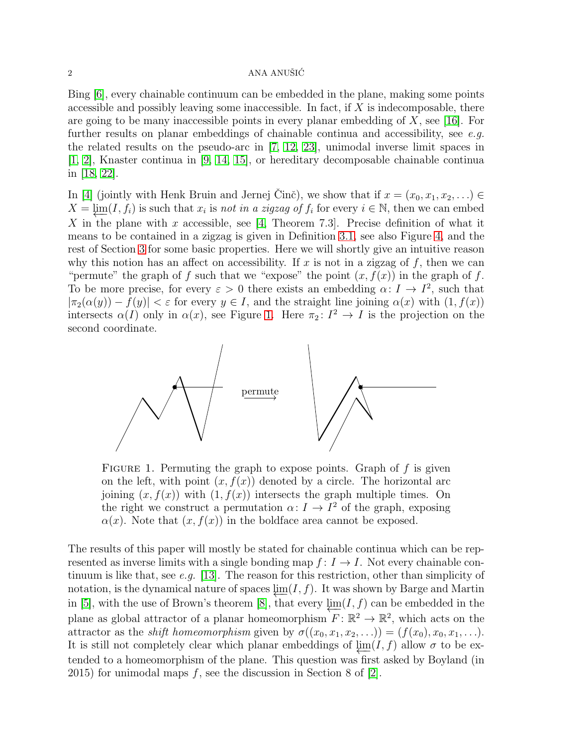### $2 \overline{\text{ANA ANUŠI}\text{C}}$

Bing [\[6\]](#page-14-4), every chainable continuum can be embedded in the plane, making some points accessible and possibly leaving some inaccessible. In fact, if  $X$  is indecomposable, there are going to be many inaccessible points in every planar embedding of  $X$ , see [\[16\]](#page-14-5). For further results on planar embeddings of chainable continua and accessibility, see *e.g.* the related results on the pseudo-arc in [\[7,](#page-14-6) [12,](#page-14-7) [23\]](#page-14-8), unimodal inverse limit spaces in [\[1,](#page-13-0) [2\]](#page-14-9), Knaster continua in [\[9,](#page-14-10) [14,](#page-14-11) [15\]](#page-14-12), or hereditary decomposable chainable continua in [\[18,](#page-14-13) [22\]](#page-14-14).

In [\[4\]](#page-14-15) (jointly with Henk Bruin and Jernej Cinč), we show that if  $x = (x_0, x_1, x_2, \ldots) \in$  $X = \varprojlim(I, f_i)$  is such that  $x_i$  is *not in a zigzag of*  $f_i$  for every  $i \in \mathbb{N}$ , then we can embed X in the plane with x accessible, see [\[4,](#page-14-15) Theorem 7.3]. Precise definition of what it means to be contained in a zigzag is given in Definition [3.1,](#page-4-0) see also Figure [4,](#page-4-1) and the rest of Section [3](#page-3-0) for some basic properties. Here we will shortly give an intuitive reason why this notion has an affect on accessibility. If  $x$  is not in a zigzag of  $f$ , then we can "permute" the graph of f such that we "expose" the point  $(x, f(x))$  in the graph of f. To be more precise, for every  $\varepsilon > 0$  there exists an embedding  $\alpha: I \to I^2$ , such that  $|\pi_2(\alpha(y)) - f(y)| < \varepsilon$  for every  $y \in I$ , and the straight line joining  $\alpha(x)$  with  $(1, f(x))$ intersects  $\alpha(I)$  only in  $\alpha(x)$ , see Figure [1.](#page-1-0) Here  $\pi_2: I^2 \to I$  is the projection on the second coordinate.



<span id="page-1-0"></span>FIGURE 1. Permuting the graph to expose points. Graph of  $f$  is given on the left, with point  $(x, f(x))$  denoted by a circle. The horizontal arc joining  $(x, f(x))$  with  $(1, f(x))$  intersects the graph multiple times. On the right we construct a permutation  $\alpha: I \to I^2$  of the graph, exposing  $\alpha(x)$ . Note that  $(x, f(x))$  in the boldface area cannot be exposed.

The results of this paper will mostly be stated for chainable continua which can be represented as inverse limits with a single bonding map  $f: I \to I$ . Not every chainable continuum is like that, see *e.g.* [\[13\]](#page-14-16). The reason for this restriction, other than simplicity of notation, is the dynamical nature of spaces  $\lim(I, f)$ . It was shown by Barge and Martin in [\[5\]](#page-14-17), with the use of Brown's theorem [\[8\]](#page-14-18), that every  $\lim(I, f)$  can be embedded in the plane as global attractor of a planar homeomorphism  $F: \mathbb{R}^2 \to \mathbb{R}^2$ , which acts on the attractor as the *shift homeomorphism* given by  $\sigma((x_0, x_1, x_2, \ldots)) = (f(x_0), x_0, x_1, \ldots).$ It is still not completely clear which planar embeddings of  $\lim(I, f)$  allow  $\sigma$  to be extended to a homeomorphism of the plane. This question was first asked by Boyland (in 2015) for unimodal maps  $f$ , see the discussion in Section 8 of [\[2\]](#page-14-9).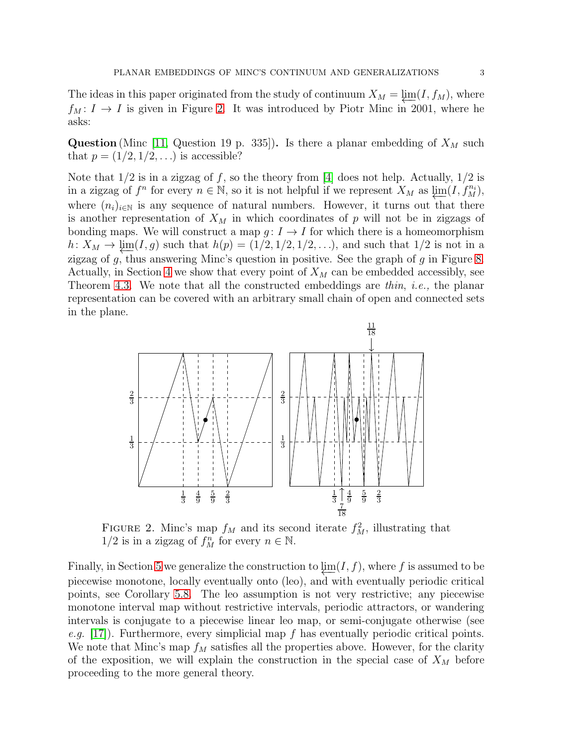The ideas in this paper originated from the study of continuum  $X_M = \underline{\lim}(I, f_M)$ , where  $f_M: I \to I$  is given in Figure [2.](#page-2-0) It was introduced by Piotr Minc in 2001, where he asks:

**Question** (Minc [\[11,](#page-14-0) Question 19 p. 335]). Is there a planar embedding of  $X_M$  such that  $p = (1/2, 1/2, \ldots)$  is accessible?

Note that  $1/2$  is in a zigzag of f, so the theory from [\[4\]](#page-14-15) does not help. Actually,  $1/2$  is in a zigzag of  $f^n$  for every  $n \in \mathbb{N}$ , so it is not helpful if we represent  $X_M$  as  $\varprojlim(I, f_M^{n_i}),$ where  $(n_i)_{i\in\mathbb{N}}$  is any sequence of natural numbers. However, it turns out that there is another representation of  $X_M$  in which coordinates of p will not be in zigzags of bonding maps. We will construct a map  $g: I \to I$  for which there is a homeomorphism h:  $X_M$  →  $\lim_{M} (I, g)$  such that  $h(p) = (1/2, 1/2, 1/2, ...)$ , and such that  $1/2$  is not in a zigzag of  $g$ , thus answering Minc's question in positive. See the graph of  $g$  in Figure [8.](#page-10-0) Actually, in Section [4](#page-7-0) we show that every point of  $X_M$  can be embedded accessibly, see Theorem [4.3.](#page-9-0) We note that all the constructed embeddings are *thin*, *i.e.,* the planar representation can be covered with an arbitrary small chain of open and connected sets in the plane.



<span id="page-2-0"></span>FIGURE 2. Minc's map  $f_M$  and its second iterate  $f_M^2$ , illustrating that  $1/2$  is in a zigzag of  $f_M^n$  for every  $n \in \mathbb{N}$ .

Finally, in Section [5](#page-10-1) we generalize the construction to  $\lim(I, f)$ , where f is assumed to be piecewise monotone, locally eventually onto (leo), and with eventually periodic critical points, see Corollary [5.8.](#page-13-1) The leo assumption is not very restrictive; any piecewise monotone interval map without restrictive intervals, periodic attractors, or wandering intervals is conjugate to a piecewise linear leo map, or semi-conjugate otherwise (see *e.g.* [\[17\]](#page-14-19)). Furthermore, every simplicial map f has eventually periodic critical points. We note that Minc's map  $f_M$  satisfies all the properties above. However, for the clarity of the exposition, we will explain the construction in the special case of  $X_M$  before proceeding to the more general theory.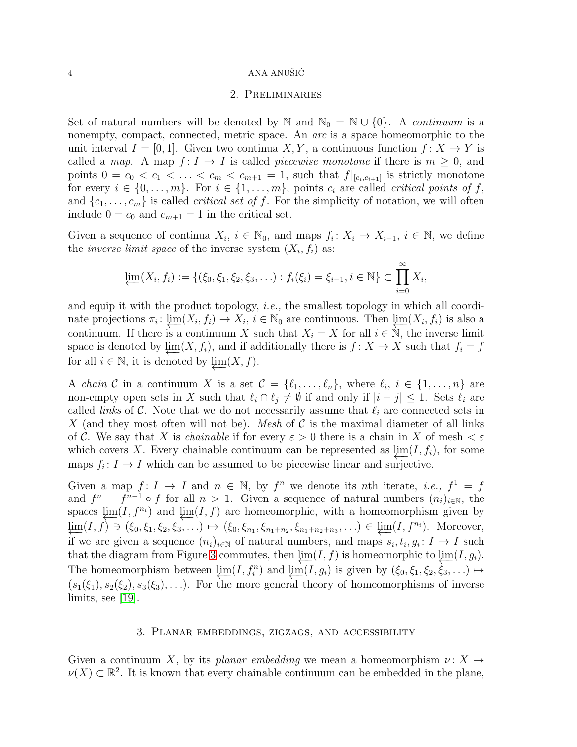### $4 \,$  ANA ANUŠIĆ

### 2. Preliminaries

Set of natural numbers will be denoted by N and  $\mathbb{N}_0 = \mathbb{N} \cup \{0\}$ . A *continuum* is a nonempty, compact, connected, metric space. An *arc* is a space homeomorphic to the unit interval  $I = [0, 1]$ . Given two continua X, Y, a continuous function  $f: X \to Y$  is called a *map*. A map  $f: I \to I$  is called *piecewise monotone* if there is  $m \geq 0$ , and points  $0 = c_0 < c_1 < \ldots < c_m < c_{m+1} = 1$ , such that  $f|_{[c_i, c_{i+1}]}$  is strictly monotone for every  $i \in \{0, \ldots, m\}$ . For  $i \in \{1, \ldots, m\}$ , points  $c_i$  are called *critical points of* f, and  $\{c_1, \ldots, c_m\}$  is called *critical set of f*. For the simplicity of notation, we will often include  $0 = c_0$  and  $c_{m+1} = 1$  in the critical set.

Given a sequence of continua  $X_i$ ,  $i \in \mathbb{N}_0$ , and maps  $f_i: X_i \to X_{i-1}$ ,  $i \in \mathbb{N}$ , we define the *inverse limit space* of the inverse system  $(X_i, f_i)$  as:

$$
\varprojlim(X_i, f_i) := \{(\xi_0, \xi_1, \xi_2, \xi_3, \ldots) : f_i(\xi_i) = \xi_{i-1}, i \in \mathbb{N}\} \subset \prod_{i=0}^{\infty} X_i,
$$

and equip it with the product topology, *i.e.,* the smallest topology in which all coordinate projections  $\pi_i: \varprojlim(X_i, f_i) \to X_i, i \in \mathbb{N}_0$  are continuous. Then  $\varprojlim(X_i, f_i)$  is also a continuum. If there is a continuum X such that  $X_i = X$  for all  $i \in \mathbb{N}$ , the inverse limit space is denoted by  $\varprojlim(X, f_i)$ , and if additionally there is  $f : X \to X$  such that  $f_i = f$ for all  $i \in \mathbb{N}$ , it is denoted by  $\lim_{x \to \infty} (X, f)$ .

A *chain* C in a continuum X is a set  $\mathcal{C} = \{\ell_1, \ldots, \ell_n\}$ , where  $\ell_i, i \in \{1, \ldots, n\}$  are non-empty open sets in X such that  $\ell_i \cap \ell_j \neq \emptyset$  if and only if  $|i - j| \leq 1$ . Sets  $\ell_i$  are called *links* of  $\mathcal C$ . Note that we do not necessarily assume that  $\ell_i$  are connected sets in X (and they most often will not be). *Mesh* of  $C$  is the maximal diameter of all links of C. We say that X is *chainable* if for every  $\varepsilon > 0$  there is a chain in X of mesh  $\leq \varepsilon$ which covers X. Every chainable continuum can be represented as  $\lim(I, f_i)$ , for some maps  $f_i: I \to I$  which can be assumed to be piecewise linear and surjective.

Given a map  $f: I \to I$  and  $n \in \mathbb{N}$ , by  $f^n$  we denote its nth iterate, *i.e.*,  $f^1 = f$ and  $f^n = f^{n-1} \circ f$  for all  $n > 1$ . Given a sequence of natural numbers  $(n_i)_{i \in \mathbb{N}}$ , the spaces  $\lim_{m}$ (I, f<sup>n<sub>i</sub>)</sub> and  $\lim_{m}$ (I, f) are homeomorphic, with a homeomorphism given by</sup>  $\lim_{\xi_n \to 0} (I, f) \ni (\xi_0, \xi_1, \xi_2, \xi_3, \ldots) \mapsto (\xi_0, \xi_{n_1}, \xi_{n_1+n_2}, \xi_{n_1+n_2+n_3}, \ldots) \in \underleftarrow{\lim}_{\xi_n} (I, f^{n_i}).$  Moreover, if we are given a sequence  $(n_i)_{i\in\mathbb{N}}$  of natural numbers, and maps  $s_i, t_i, g_i: I \to I$  such that the diagram from Figure [3](#page-4-2) commutes, then  $\lim_{\Delta f}(I, f)$  is homeomorphic to  $\lim_{\Delta f}(I, g_i)$ . The homeomorphism between  $\varprojlim(I, f_i^n)$  and  $\varprojlim(I, g_i)$  is given by  $(\xi_0, \xi_1, \xi_2, \xi_3, \ldots) \mapsto$  $(s_1(\xi_1), s_2(\xi_2), s_3(\xi_3), \ldots)$ . For the more general theory of homeomorphisms of inverse limits, see [\[19\]](#page-14-20).

## 3. Planar embeddings, zigzags, and accessibility

<span id="page-3-0"></span>Given a continuum X, by its *planar embedding* we mean a homeomorphism  $\nu: X \rightarrow$  $\nu(X) \subset \mathbb{R}^2$ . It is known that every chainable continuum can be embedded in the plane,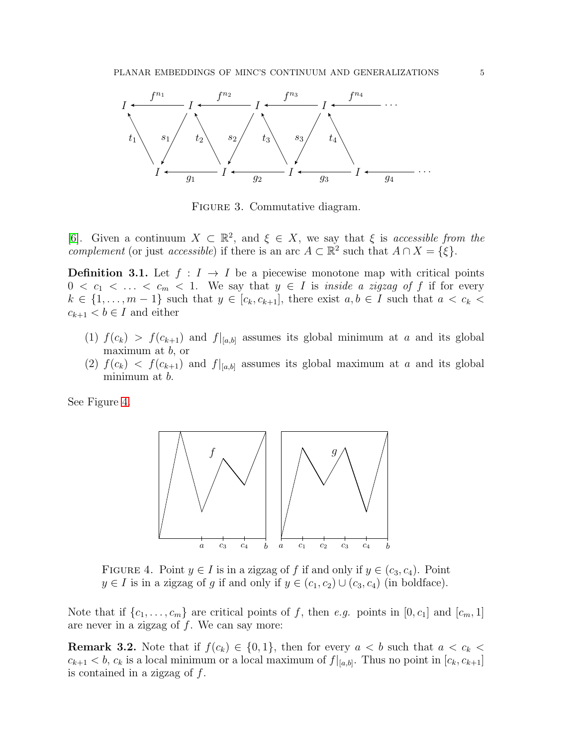

<span id="page-4-2"></span>Figure 3. Commutative diagram.

[\[6\]](#page-14-4). Given a continuum  $X \subset \mathbb{R}^2$ , and  $\xi \in X$ , we say that  $\xi$  is *accessible from the complement* (or just *accessible*) if there is an arc  $A \subset \mathbb{R}^2$  such that  $A \cap X = \{\xi\}.$ 

<span id="page-4-0"></span>**Definition 3.1.** Let  $f : I \to I$  be a piecewise monotone map with critical points  $0 < c_1 < \ldots < c_m < 1$ . We say that  $y \in I$  is *inside a zigzag of* f if for every  $k \in \{1, \ldots, m-1\}$  such that  $y \in [c_k, c_{k+1}]$ , there exist  $a, b \in I$  such that  $a < c_k$  $c_{k+1} < b \in I$  and either

- (1)  $f(c_k) > f(c_{k+1})$  and  $f|_{[a,b]}$  assumes its global minimum at a and its global maximum at  $b$ , or
- (2)  $f(c_k) < f(c_{k+1})$  and  $f|_{[a,b]}$  assumes its global maximum at a and its global minimum at b.

See Figure [4.](#page-4-1)



<span id="page-4-1"></span>FIGURE 4. Point  $y \in I$  is in a zigzag of f if and only if  $y \in (c_3, c_4)$ . Point  $y \in I$  is in a zigzag of g if and only if  $y \in (c_1, c_2) \cup (c_3, c_4)$  (in boldface).

Note that if  $\{c_1, \ldots, c_m\}$  are critical points of f, then e.g. points in  $[0, c_1]$  and  $[c_m, 1]$ are never in a zigzag of  $f$ . We can say more:

<span id="page-4-3"></span>**Remark 3.2.** Note that if  $f(c_k) \in \{0,1\}$ , then for every  $a < b$  such that  $a < c_k$  $c_{k+1} < b, c_k$  is a local minimum or a local maximum of  $f|_{[a,b]}$ . Thus no point in  $[c_k, c_{k+1}]$ is contained in a zigzag of  $f$ .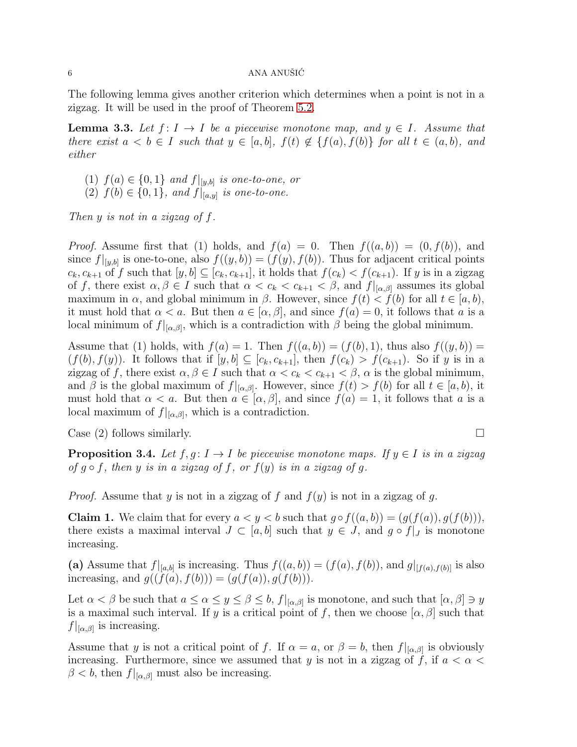### $6 \overline{\phantom{a}}$  ANA ANUŠIĆ

The following lemma gives another criterion which determines when a point is not in a zigzag. It will be used in the proof of Theorem [5.2.](#page-10-2)

<span id="page-5-1"></span>**Lemma 3.3.** Let  $f: I \to I$  be a piecewise monotone map, and  $y \in I$ . Assume that *there exist*  $a < b \in I$  *such that*  $y \in [a, b]$ *,*  $f(t) \notin \{f(a), f(b)\}$  *for all*  $t \in (a, b)$ *, and either*

- (1)  $f(a) \in \{0, 1\}$  *and*  $f|_{[y,b]}$  *is one-to-one, or*
- (2)  $f(b) \in \{0, 1\}$ *, and*  $f|_{[a,y]}$  *is one-to-one.*

*Then* y *is not in a zigzag of* f*.*

*Proof.* Assume first that (1) holds, and  $f(a) = 0$ . Then  $f((a, b)) = (0, f(b))$ , and since  $f|_{[y,b]}$  is one-to-one, also  $f((y,b)) = (f(y), f(b))$ . Thus for adjacent critical points  $c_k, c_{k+1}$  of f such that  $[y, b] \subseteq [c_k, c_{k+1}]$ , it holds that  $f(c_k) < f(c_{k+1})$ . If y is in a zigzag of f, there exist  $\alpha, \beta \in I$  such that  $\alpha < c_k < c_{k+1} < \beta$ , and  $f|_{[\alpha,\beta]}$  assumes its global maximum in  $\alpha$ , and global minimum in  $\beta$ . However, since  $f(t) < f(b)$  for all  $t \in [a, b)$ , it must hold that  $\alpha < a$ . But then  $a \in [\alpha, \beta]$ , and since  $f(a) = 0$ , it follows that a is a local minimum of  $f|_{[\alpha,\beta]}$ , which is a contradiction with  $\beta$  being the global minimum.

Assume that (1) holds, with  $f(a) = 1$ . Then  $f((a, b)) = (f(b), 1)$ , thus also  $f((y, b)) =$  $(f(b), f(y))$ . It follows that if  $[y, b] \subseteq [c_k, c_{k+1}]$ , then  $f(c_k) > f(c_{k+1})$ . So if y is in a zigzag of f, there exist  $\alpha, \beta \in I$  such that  $\alpha < c_k < c_{k+1} < \beta$ ,  $\alpha$  is the global minimum, and  $\beta$  is the global maximum of  $f|_{[\alpha,\beta]}$ . However, since  $f(t) > f(b)$  for all  $t \in [a,b)$ , it must hold that  $\alpha < a$ . But then  $a \in [\alpha, \beta]$ , and since  $f(a) = 1$ , it follows that a is a local maximum of  $f|_{[\alpha,\beta]}$ , which is a contradiction.

Case (2) follows similarly.  $\square$ 

<span id="page-5-0"></span>**Proposition 3.4.** Let  $f, g: I \to I$  be piecewise monotone maps. If  $y \in I$  is in a zigzag *of*  $g \circ f$ *, then*  $y$  *is in a zigzag of*  $f$ *, or*  $f(y)$  *is in a zigzag of g*.

*Proof.* Assume that y is not in a zigzag of f and  $f(y)$  is not in a zigzag of g.

**Claim 1.** We claim that for every  $a < y < b$  such that  $g \circ f((a, b)) = (g(f(a)), g(f(b))),$ there exists a maximal interval  $J \subset [a, b]$  such that  $y \in J$ , and  $g \circ f|_J$  is monotone increasing.

(a) Assume that  $f|_{[a,b]}$  is increasing. Thus  $f((a,b)) = (f(a), f(b))$ , and  $g|_{[f(a),f(b)]}$  is also increasing, and  $g((f(a), f(b))) = (g(f(a)), g(f(b))).$ 

Let  $\alpha < \beta$  be such that  $a \leq \alpha \leq y \leq \beta \leq b$ ,  $f|_{[\alpha,\beta]}$  is monotone, and such that  $[\alpha,\beta] \ni y$ is a maximal such interval. If y is a critical point of f, then we choose  $[\alpha, \beta]$  such that  $f|_{[\alpha,\beta]}$  is increasing.

Assume that y is not a critical point of f. If  $\alpha = a$ , or  $\beta = b$ , then  $f|_{[\alpha,\beta]}$  is obviously increasing. Furthermore, since we assumed that y is not in a zigzag of f, if  $a < \alpha <$  $\beta < b$ , then  $f|_{[\alpha,\beta]}$  must also be increasing.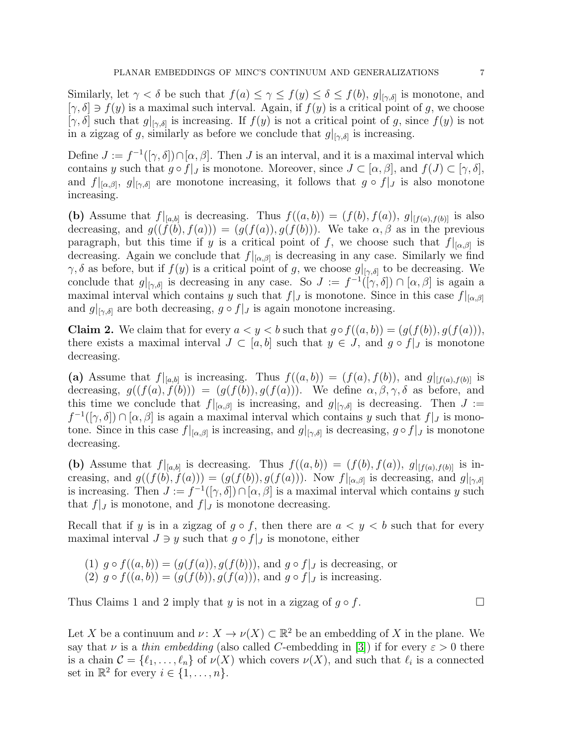Similarly, let  $\gamma < \delta$  be such that  $f(a) \leq \gamma \leq f(y) \leq \delta \leq f(b)$ ,  $g|_{[\gamma,\delta]}$  is monotone, and  $[\gamma, \delta] \ni f(y)$  is a maximal such interval. Again, if  $f(y)$  is a critical point of g, we choose  $[\gamma, \delta]$  such that  $g|_{[\gamma, \delta]}$  is increasing. If  $f(y)$  is not a critical point of g, since  $f(y)$  is not in a zigzag of g, similarly as before we conclude that  $g|_{[\gamma,\delta]}$  is increasing.

Define  $J := f^{-1}([\gamma, \delta]) \cap [\alpha, \beta]$ . Then J is an interval, and it is a maximal interval which contains y such that  $g \circ f|_J$  is monotone. Moreover, since  $J \subset [\alpha, \beta]$ , and  $f(J) \subset [\gamma, \delta]$ , and  $f|_{[\alpha,\beta]}, g|_{[\gamma,\delta]}$  are monotone increasing, it follows that  $g \circ f|_J$  is also monotone increasing.

(b) Assume that  $f|_{[a,b]}$  is decreasing. Thus  $f((a,b)) = (f(b), f(a)), g|_{[f(a), f(b)]}$  is also decreasing, and  $g((\dot{f}(b), f(a))) = (g(f(a)), g(f(b)))$ . We take  $\alpha, \beta$  as in the previous paragraph, but this time if y is a critical point of f, we choose such that  $f|_{[\alpha,\beta]}$  is decreasing. Again we conclude that  $f|_{[\alpha,\beta]}$  is decreasing in any case. Similarly we find  $\gamma, \delta$  as before, but if  $f(y)$  is a critical point of g, we choose  $g|_{[\gamma,\delta]}$  to be decreasing. We conclude that  $g|_{[\gamma,\delta]}$  is decreasing in any case. So  $J := f^{-1}([\gamma,\delta]) \cap [\alpha,\beta]$  is again a maximal interval which contains y such that  $f|_J$  is monotone. Since in this case  $f|_{[\alpha,\beta]}$ and  $g|_{[\gamma,\delta]}$  are both decreasing,  $g \circ f|_J$  is again monotone increasing.

**Claim 2.** We claim that for every  $a < y < b$  such that  $g \circ f((a, b)) = (g(f(b)), g(f(a))),$ there exists a maximal interval  $J \subset [a, b]$  such that  $y \in J$ , and  $g \circ f|_J$  is monotone decreasing.

(a) Assume that  $f|_{[a,b]}$  is increasing. Thus  $f((a, b)) = (f(a), f(b))$ , and  $g|_{[f(a), f(b)]}$  is decreasing,  $g((f(a), f(b))) = (g(f(b)), g(f(a)))$ . We define  $\alpha, \beta, \gamma, \delta$  as before, and this time we conclude that  $f|_{[\alpha,\beta]}$  is increasing, and  $g|_{[\gamma,\delta]}$  is decreasing. Then  $J :=$  $f^{-1}([\gamma,\delta]) \cap [\alpha,\beta]$  is again a maximal interval which contains y such that  $f|_J$  is monotone. Since in this case  $f|_{[\alpha,\beta]}$  is increasing, and  $g|_{[\gamma,\delta]}$  is decreasing,  $g \circ f|_J$  is monotone decreasing.

(b) Assume that  $f|_{[a,b]}$  is decreasing. Thus  $f((a, b)) = (f(b), f(a)), g|_{[f(a), f(b)]}$  is increasing, and  $g((f(b), f(a))) = (g(f(b)), g(f(a)))$ . Now  $f|_{[\alpha,\beta]}$  is decreasing, and  $g|_{[\gamma,\delta]}$ is increasing. Then  $J := f^{-1}([\gamma, \delta]) \cap [\alpha, \beta]$  is a maximal interval which contains y such that  $f|_J$  is monotone, and  $f|_J$  is monotone decreasing.

Recall that if y is in a zigzag of  $g \circ f$ , then there are  $a \leq y \leq b$  such that for every maximal interval  $J \ni y$  such that  $g \circ f|_J$  is monotone, either

(1)  $g \circ f((a, b)) = (g(f(a)), g(f(b)))$ , and  $g \circ f|_J$  is decreasing, or (2)  $q \circ f((a, b)) = (q(f(b)), q(f(a))),$  and  $q \circ f|_J$  is increasing.

Thus Claims 1 and 2 imply that y is not in a zigzag of  $g \circ f$ .

Let X be a continuum and  $\nu: X \to \nu(X) \subset \mathbb{R}^2$  be an embedding of X in the plane. We say that  $\nu$  is a *thin embedding* (also called C-embedding in [\[3\]](#page-14-21)) if for every  $\varepsilon > 0$  there is a chain  $\mathcal{C} = \{\ell_1, \ldots, \ell_n\}$  of  $\nu(X)$  which covers  $\nu(X)$ , and such that  $\ell_i$  is a connected set in  $\mathbb{R}^2$  for every  $i \in \{1, \ldots, n\}.$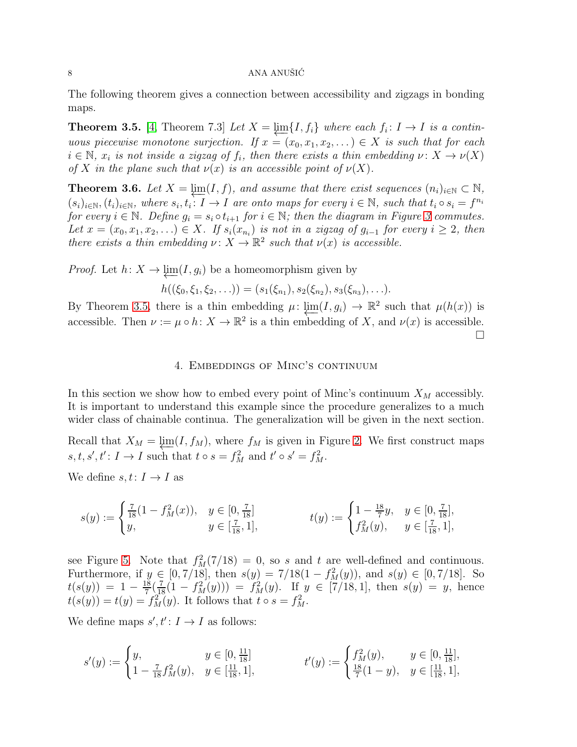### 8  $\blacksquare$  ANA ANUŠIĆ

The following theorem gives a connection between accessibility and zigzags in bonding maps.

<span id="page-7-1"></span>**Theorem 3.5.** [\[4,](#page-14-15) Theorem 7.3] *Let*  $X = \varprojlim \{I, f_i\}$  *where each*  $f_i: I \to I$  *is a continuous piecewise monotone surjection.* If  $x = (x_0, x_1, x_2, ...) \in X$  *is such that for each*  $i \in \mathbb{N}$ ,  $x_i$  is not inside a zigzag of  $f_i$ , then there exists a thin embedding  $\nu \colon X \to \nu(X)$ *of* X in the plane such that  $\nu(x)$  *is an accessible point of*  $\nu(X)$ *.* 

<span id="page-7-2"></span>**Theorem 3.6.** Let  $X = \varprojlim(I, f)$ , and assume that there exist sequences  $(n_i)_{i \in \mathbb{N}} \subset \mathbb{N}$ ,  $(s_i)_{i\in\mathbb{N}}, (t_i)_{i\in\mathbb{N}},$  where  $s_i, t_i: I \to I$  are onto maps for every  $i \in \mathbb{N}$ , such that  $t_i \circ s_i = f^{n_i}$ *for every*  $i \in \mathbb{N}$ *. Define*  $g_i = s_i \circ t_{i+1}$  *for*  $i \in \mathbb{N}$ *; then the diagram in Figure [3](#page-4-2) commutes.* Let  $x = (x_0, x_1, x_2, \ldots) \in X$ . If  $s_i(x_{n_i})$  is not in a zigzag of  $g_{i-1}$  for every  $i \geq 2$ , then *there exists a thin embedding*  $\nu: X \to \mathbb{R}^2$  *such that*  $\nu(x)$  *is accessible.* 

*Proof.* Let  $h: X \to \underline{\lim}(I, g_i)$  be a homeomorphism given by

$$
h((\xi_0,\xi_1,\xi_2,\ldots))=(s_1(\xi_{n_1}),s_2(\xi_{n_2}),s_3(\xi_{n_3}),\ldots).
$$

<span id="page-7-0"></span>By Theorem [3.5,](#page-7-1) there is a thin embedding  $\mu: \varprojlim(I, g_i) \to \mathbb{R}^2$  such that  $\mu(h(x))$  is accessible. Then  $\nu := \mu \circ h : X \to \mathbb{R}^2$  is a thin embedding of X, and  $\nu(x)$  is accessible.  $\Box$ 

### 4. Embeddings of Minc's continuum

In this section we show how to embed every point of Minc's continuum  $X_M$  accessibly. It is important to understand this example since the procedure generalizes to a much wider class of chainable continua. The generalization will be given in the next section.

Recall that  $X_M = \underline{\lim}(I, f_M)$ , where  $f_M$  is given in Figure [2.](#page-2-0) We first construct maps  $s, t, s', t' : I \to I$  such that  $t \circ s = f_M^2$  and  $t' \circ s' = f_M^2$ .

We define  $s, t: I \rightarrow I$  as

$$
s(y) := \begin{cases} \frac{7}{18}(1 - f_M^2(x)), & y \in [0, \frac{7}{18}] \\ y, & y \in [\frac{7}{18}, 1], \end{cases} \qquad t(y) := \begin{cases} 1 - \frac{18}{7}y, & y \in [0, \frac{7}{18}], \\ f_M^2(y), & y \in [\frac{7}{18}, 1], \end{cases}
$$

see Figure [5.](#page-8-0) Note that  $f_M^2(7/18) = 0$ , so s and t are well-defined and continuous. Furthermore, if  $y \in [0, 7/18]$ , then  $s(y) = 7/18(1 - f_M^2(y))$ , and  $s(y) \in [0, 7/18]$ . So  $t(s(y)) = 1 - \frac{18}{7}$  $\frac{18}{7}(\frac{7}{18}(1-f_M^2(y))) = f_M^2(y)$ . If  $y \in [7/18, 1]$ , then  $s(y) = y$ , hence  $t(s(y)) = t(y) = f<sub>M</sub><sup>2</sup>(y)$ . It follows that  $t \circ s = f<sub>M</sub><sup>2</sup>$ .

We define maps  $s', t' : I \to I$  as follows:

$$
s'(y) := \begin{cases} y, & y \in [0, \frac{11}{18}] \\ 1 - \frac{7}{18} f_M^2(y), & y \in [\frac{11}{18}, 1], \end{cases} \qquad t'(y) := \begin{cases} f_M^2(y), & y \in [0, \frac{11}{18}], \\ \frac{18}{7}(1 - y), & y \in [\frac{11}{18}, 1], \end{cases}
$$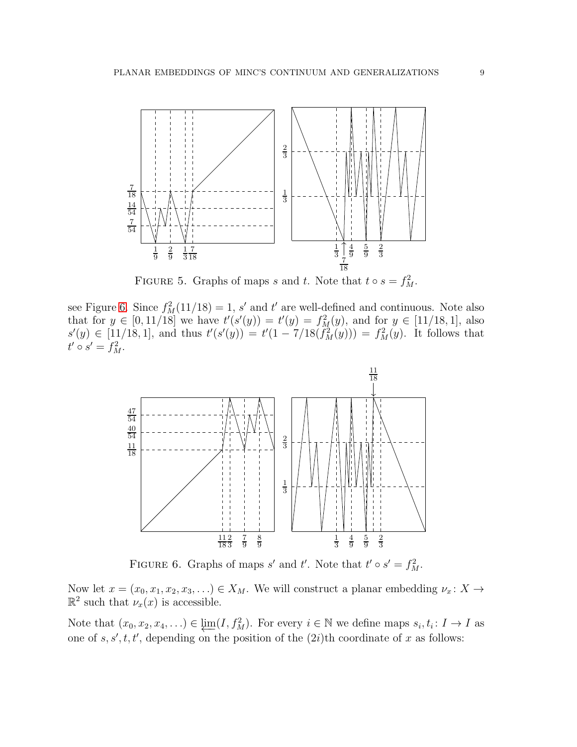

<span id="page-8-0"></span>FIGURE 5. Graphs of maps s and t. Note that  $t \circ s = f_M^2$ .

see Figure [6.](#page-8-1) Since  $f_M^2(11/18) = 1$ , s' and t' are well-defined and continuous. Note also that for  $y \in [0, 11/18]$  we have  $t'(s'(y)) = t'(y) = f_M^2(y)$ , and for  $y \in [11/18, 1]$ , also  $s'(y) \in [11/18, 1]$ , and thus  $t'(s'(y)) = t'(1 - 7/18(f_M^2(y))) = f_M^2(y)$ . It follows that  $t' \circ s' = f_M^2$ .



<span id="page-8-1"></span>FIGURE 6. Graphs of maps s' and t'. Note that  $t' \circ s' = f_M^2$ .

Now let  $x = (x_0, x_1, x_2, x_3, \ldots) \in X_M$ . We will construct a planar embedding  $\nu_x \colon X \to Y$  $\mathbb{R}^2$  such that  $\nu_x(x)$  is accessible.

Note that  $(x_0, x_2, x_4, ...) \in \varprojlim(I, f^2_M)$ . For every  $i \in \mathbb{N}$  we define maps  $s_i, t_i : I \to I$  as one of  $s, s', t, t'$ , depending on the position of the  $(2i)$ <sup>th</sup> coordinate of x as follows: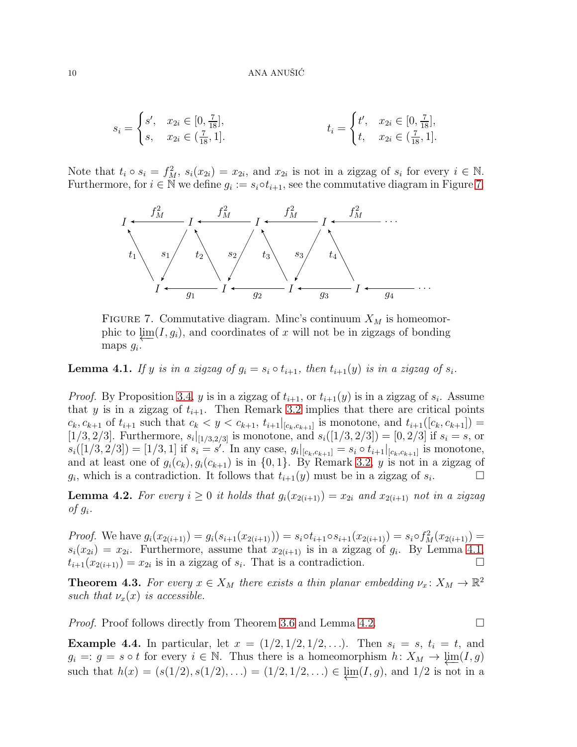$$
s_i = \begin{cases} s', & x_{2i} \in [0, \frac{7}{18}], \\ s, & x_{2i} \in (\frac{7}{18}, 1]. \end{cases} \qquad t_i = \begin{cases} t', & x_{2i} \in [0, \frac{7}{18}], \\ t, & x_{2i} \in (\frac{7}{18}, 1]. \end{cases}
$$

Note that  $t_i \circ s_i = f_M^2$ ,  $s_i(x_{2i}) = x_{2i}$ , and  $x_{2i}$  is not in a zigzag of  $s_i$  for every  $i \in \mathbb{N}$ . Furthermore, for  $i \in \mathbb{N}$  we define  $g_i := s_i \circ t_{i+1}$ , see the commutative diagram in Figure [7.](#page-9-1)



<span id="page-9-1"></span>FIGURE 7. Commutative diagram. Minc's continuum  $X_M$  is homeomorphic to  $\lim(I, g_i)$ , and coordinates of x will not be in zigzags of bonding maps  $g_i$ .

<span id="page-9-2"></span>**Lemma 4.1.** If y is in a zigzag of  $g_i = s_i \circ t_{i+1}$ , then  $t_{i+1}(y)$  is in a zigzag of  $s_i$ .

*Proof.* By Proposition [3.4,](#page-5-0) y is in a zigzag of  $t_{i+1}$ , or  $t_{i+1}(y)$  is in a zigzag of  $s_i$ . Assume that y is in a zigzag of  $t_{i+1}$ . Then Remark [3.2](#page-4-3) implies that there are critical points  $c_k, c_{k+1}$  of  $t_{i+1}$  such that  $c_k < y < c_{k+1}, t_{i+1}|_{[c_k, c_{k+1}]}$  is monotone, and  $t_{i+1}([c_k, c_{k+1}]) =$  $[1/3, 2/3]$ . Furthermore,  $s_i|_{[1/3, 2/3]}$  is monotone, and  $s_i([1/3, 2/3]) = [0, 2/3]$  if  $s_i = s$ , or  $s_i([1/3, 2/3]) = [1/3, 1]$  if  $s_i = s'$ . In any case,  $g_i|_{[c_k, c_{k+1}]} = s_i \circ t_{i+1}|_{[c_k, c_{k+1}]}$  is monotone, and at least one of  $g_i(c_k), g_i(c_{k+1})$  is in  $\{0, 1\}$ . By Remark [3.2,](#page-4-3) y is not in a zigzag of  $g_i$ , which is a contradiction. It follows that  $t_{i+1}(y)$  must be in a zigzag of  $s_i$  $\Box$ 

<span id="page-9-3"></span>**Lemma 4.2.** For every  $i \geq 0$  it holds that  $g_i(x_{2(i+1)}) = x_{2i}$  and  $x_{2(i+1)}$  not in a zigzag of  $g_i$ .

*Proof.* We have  $g_i(x_{2(i+1)}) = g_i(s_{i+1}(x_{2(i+1)})) = s_i \circ t_{i+1} \circ s_{i+1}(x_{2(i+1)}) = s_i \circ f_M^2(x_{2(i+1)}) =$  $s_i(x_{2i}) = x_{2i}$ . Furthermore, assume that  $x_{2(i+1)}$  is in a zigzag of  $g_i$ . By Lemma [4.1,](#page-9-2)  $t_{i+1}(x_{2(i+1)}) = x_{2i}$  is in a zigzag of  $s_i$ . That is a contradiction.

<span id="page-9-0"></span>**Theorem 4.3.** *For every*  $x \in X_M$  *there exists a thin planar embedding*  $\nu_x \colon X_M \to \mathbb{R}^2$ *such that*  $\nu_x(x)$  *is accessible.* 

*Proof.* Proof follows directly from Theorem [3.6](#page-7-2) and Lemma [4.2.](#page-9-3)

**Example 4.4.** In particular, let  $x = (1/2, 1/2, 1/2, ...)$ . Then  $s_i = s$ ,  $t_i = t$ , and  $g_i =: g = s \circ t$  for every  $i \in \mathbb{N}$ . Thus there is a homeomorphism  $h: X_M \to \varprojlim(I, g)$ such that  $h(x) = (s(1/2), s(1/2), ...) = (1/2, 1/2, ...) \in \underline{\lim}(I, g)$ , and  $1/2$  is not in a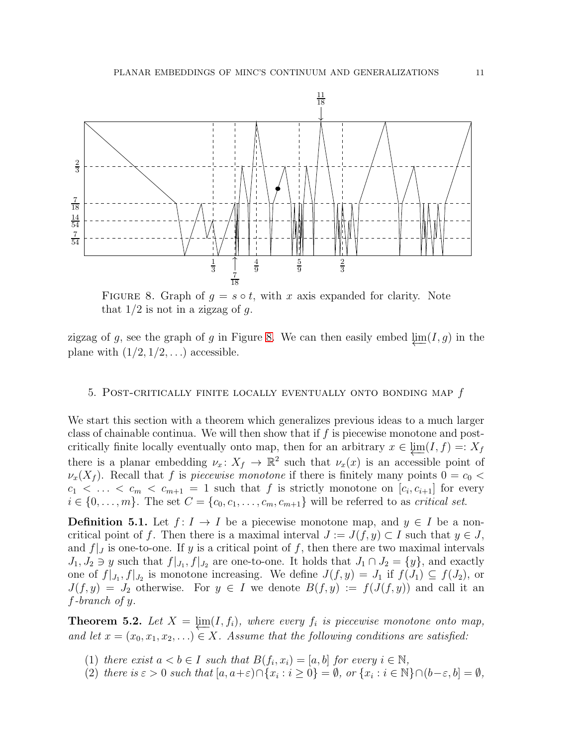

<span id="page-10-0"></span>FIGURE 8. Graph of  $g = s \circ t$ , with x axis expanded for clarity. Note that  $1/2$  is not in a zigzag of g.

zigzag of g, see the graph of g in Figure [8.](#page-10-0) We can then easily embed  $\lim(I, g)$  in the plane with  $(1/2, 1/2, ...)$  accessible.

### <span id="page-10-1"></span>5. POST-CRITICALLY FINITE LOCALLY EVENTUALLY ONTO BONDING MAP  $f$

We start this section with a theorem which generalizes previous ideas to a much larger class of chainable continua. We will then show that if  $f$  is piecewise monotone and postcritically finite locally eventually onto map, then for an arbitrary  $x \in \lim(I, f) =: X_f$ there is a planar embedding  $\nu_x \colon X_f \to \mathbb{R}^2$  such that  $\nu_x(x)$  is an accessible point of  $\nu_x(X_f)$ . Recall that f is *piecewise monotone* if there is finitely many points  $0 = c_0$  <  $c_1 < \ldots < c_m < c_{m+1} = 1$  such that f is strictly monotone on  $[c_i, c_{i+1}]$  for every  $i \in \{0, \ldots, m\}$ . The set  $C = \{c_0, c_1, \ldots, c_m, c_{m+1}\}\$  will be referred to as *critical set*.

**Definition 5.1.** Let  $f: I \to I$  be a piecewise monotone map, and  $y \in I$  be a noncritical point of f. Then there is a maximal interval  $J := J(f, y) \subset I$  such that  $y \in J$ , and  $f|_J$  is one-to-one. If y is a critical point of f, then there are two maximal intervals  $J_1, J_2 \ni y$  such that  $f|_{J_1}, f|_{J_2}$  are one-to-one. It holds that  $J_1 \cap J_2 = \{y\}$ , and exactly one of  $f|_{J_1}, f|_{J_2}$  is monotone increasing. We define  $J(f, y) = J_1$  if  $f(J_1) \subseteq f(J_2)$ , or  $J(f, y) = J_2$  otherwise. For  $y \in I$  we denote  $B(f, y) := f(J(f, y))$  and call it an f*-branch of* y.

<span id="page-10-2"></span>**Theorem 5.2.** Let  $X = \varprojlim(I, f_i)$ , where every  $f_i$  is piecewise monotone onto map, *and let*  $x = (x_0, x_1, x_2, ...) \in X$ *. Assume that the following conditions are satisfied:* 

- (1) *there exist*  $a < b \in I$  *such that*  $B(f_i, x_i) = [a, b]$  *for every*  $i \in \mathbb{N}$ *,*
- (2) *there is*  $\varepsilon > 0$  *such that*  $[a, a+\varepsilon) \cap \{x_i : i \ge 0\} = \emptyset$ , or  $\{x_i : i \in \mathbb{N}\} \cap (b-\varepsilon, b] = \emptyset$ ,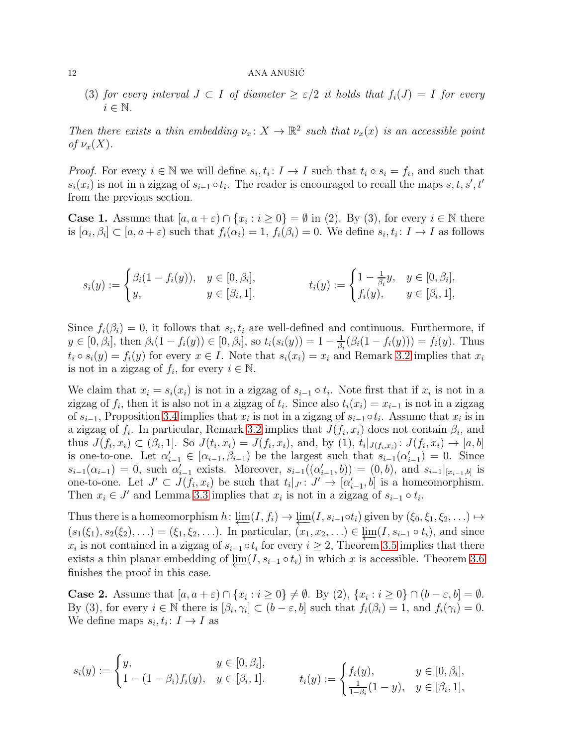### $12$  ANA ANUŠIĆ

(3) *for every interval*  $J \subset I$  *of diameter*  $\geq \varepsilon/2$  *it holds that*  $f_i(J) = I$  *for every*  $i \in \mathbb{N}$ .

*Then there exists a thin embedding*  $\nu_x: X \to \mathbb{R}^2$  such that  $\nu_x(x)$  *is an accessible point of*  $\nu_x(X)$ *.* 

*Proof.* For every  $i \in \mathbb{N}$  we will define  $s_i, t_i \colon I \to I$  such that  $t_i \circ s_i = f_i$ , and such that  $s_i(x_i)$  is not in a zigzag of  $s_{i-1} \circ t_i$ . The reader is encouraged to recall the maps  $s, t, s', t'$ from the previous section.

**Case 1.** Assume that  $[a, a + \varepsilon) \cap \{x_i : i \ge 0\} = \emptyset$  in (2). By (3), for every  $i \in \mathbb{N}$  there is  $[\alpha_i, \beta_i] \subset [a, a + \varepsilon)$  such that  $f_i(\alpha_i) = 1$ ,  $f_i(\beta_i) = 0$ . We define  $s_i, t_i \colon I \to I$  as follows

$$
s_i(y) := \begin{cases} \beta_i(1 - f_i(y)), & y \in [0, \beta_i], \\ y, & y \in [\beta_i, 1]. \end{cases} \qquad t_i(y) := \begin{cases} 1 - \frac{1}{\beta_i}y, & y \in [0, \beta_i], \\ f_i(y), & y \in [\beta_i, 1], \end{cases}
$$

Since  $f_i(\beta_i) = 0$ , it follows that  $s_i, t_i$  are well-defined and continuous. Furthermore, if  $y \in [0, \beta_i],$  then  $\beta_i(1 - f_i(y)) \in [0, \beta_i],$  so  $t_i(s_i(y)) = 1 - \frac{1}{\beta_i}$  $\frac{1}{\beta_i}(\beta_i(1-f_i(y))) = f_i(y)$ . Thus  $t_i \circ s_i(y) = f_i(y)$  for every  $x \in I$ . Note that  $s_i(x_i) = x_i$  and Remark [3.2](#page-4-3) implies that  $x_i$ is not in a zigzag of  $f_i$ , for every  $i \in \mathbb{N}$ .

We claim that  $x_i = s_i(x_i)$  is not in a zigzag of  $s_{i-1} \circ t_i$ . Note first that if  $x_i$  is not in a zigzag of  $f_i$ , then it is also not in a zigzag of  $t_i$ . Since also  $t_i(x_i) = x_{i-1}$  is not in a zigzag of  $s_{i-1}$ , Proposition [3.4](#page-5-0) implies that  $x_i$  is not in a zigzag of  $s_{i-1} \circ t_i$ . Assume that  $x_i$  is in a zigzag of  $f_i$ . In particular, Remark [3.2](#page-4-3) implies that  $J(f_i, x_i)$  does not contain  $\beta_i$ , and thus  $J(f_i, x_i) \subset (\beta_i, 1]$ . So  $J(t_i, x_i) = J(f_i, x_i)$ , and, by (1),  $t_i |_{J(f_i, x_i)} : J(f_i, x_i) \to [a, b]$ is one-to-one. Let  $\alpha'_{i-1} \in [\alpha_{i-1}, \beta_{i-1}]$  be the largest such that  $s_{i-1}(\alpha'_{i-1}) = 0$ . Since  $s_{i-1}(\alpha_{i-1}) = 0$ , such  $\alpha'_{i-1}$  exists. Moreover,  $s_{i-1}((\alpha'_{i-1}, b)) = (0, b)$ , and  $s_{i-1}|_{[x_{i-1},b]}$  is one-to-one. Let  $J' \subset J(f_i, x_i)$  be such that  $t_i|_{J'} : J' \to [\alpha'_{i-1}, b]$  is a homeomorphism. Then  $x_i \in J'$  and Lemma [3.3](#page-5-1) implies that  $x_i$  is not in a zigzag of  $s_{i-1} \circ t_i$ .

Thus there is a homeomorphism  $h: \varprojlim(I, f_i) \to \varprojlim(I, s_{i-1} \circ t_i)$  given by  $(\xi_0, \xi_1, \xi_2, \ldots) \mapsto$  $(s_1(\xi_1), s_2(\xi_2), \ldots) = (\xi_1, \xi_2, \ldots)$ . In particular,  $(x_1, x_2, \ldots) \in \underline{\lim}(I, s_{i-1} \circ t_i)$ , and since  $x_i$  is not contained in a zigzag of  $s_{i-1} \circ t_i$  for every  $i \geq 2$ , Theorem [3.5](#page-7-1) implies that there exists a thin planar embedding of  $\lim(I, s_{i-1} \circ t_i)$  in which x is accessible. Theorem [3.6](#page-7-2) finishes the proof in this case.

**Case 2.** Assume that  $[a, a + \varepsilon) \cap \{x_i : i \ge 0\} \neq \emptyset$ . By (2),  $\{x_i : i \ge 0\} \cap (b - \varepsilon, b] = \emptyset$ . By (3), for every  $i \in \mathbb{N}$  there is  $[\beta_i, \gamma_i] \subset (b - \varepsilon, b]$  such that  $f_i(\beta_i) = 1$ , and  $f_i(\gamma_i) = 0$ . We define maps  $s_i, t_i: I \to I$  as

$$
s_i(y) := \begin{cases} y, & y \in [0, \beta_i], \\ 1 - (1 - \beta_i) f_i(y), & y \in [\beta_i, 1]. \end{cases} \qquad t_i(y) := \begin{cases} f_i(y), & y \in [0, \beta_i], \\ \frac{1}{1 - \beta_i}(1 - y), & y \in [\beta_i, 1], \end{cases}
$$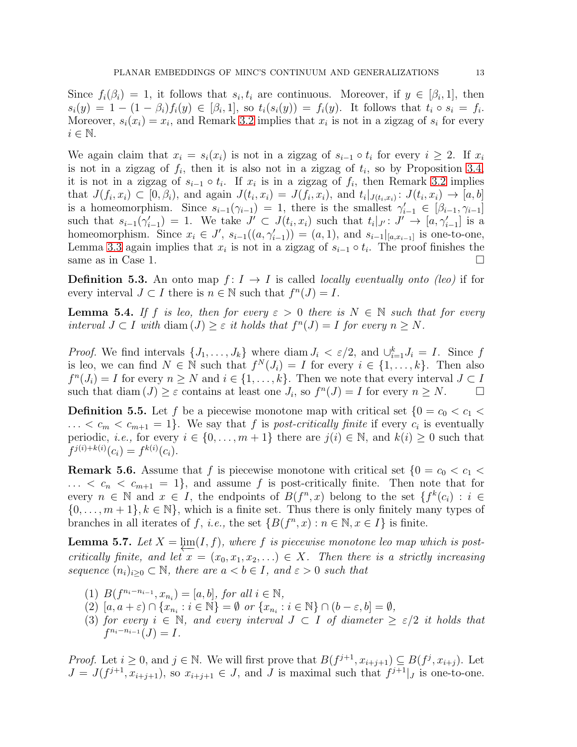Since  $f_i(\beta_i) = 1$ , it follows that  $s_i, t_i$  are continuous. Moreover, if  $y \in [\beta_i, 1]$ , then  $s_i(y) = 1 - (1 - \beta_i) f_i(y) \in [\beta_i, 1],$  so  $t_i(s_i(y)) = f_i(y)$ . It follows that  $t_i \circ s_i = f_i$ . Moreover,  $s_i(x_i) = x_i$ , and Remark [3.2](#page-4-3) implies that  $x_i$  is not in a zigzag of  $s_i$  for every  $i \in \mathbb{N}$ .

We again claim that  $x_i = s_i(x_i)$  is not in a zigzag of  $s_{i-1} \circ t_i$  for every  $i \geq 2$ . If  $x_i$ is not in a zigzag of  $f_i$ , then it is also not in a zigzag of  $t_i$ , so by Proposition [3.4,](#page-5-0) it is not in a zigzag of  $s_{i-1} \circ t_i$ . If  $x_i$  is in a zigzag of  $f_i$ , then Remark [3.2](#page-4-3) implies that  $J(f_i, x_i) \subset [0, \beta_i)$ , and again  $J(t_i, x_i) = J(f_i, x_i)$ , and  $t_i |_{J(t_i, x_i)} : J(t_i, x_i) \to [a, b]$ is a homeomorphism. Since  $s_{i-1}(\gamma_{i-1}) = 1$ , there is the smallest  $\gamma'_{i-1} \in [\beta_{i-1}, \gamma_{i-1}]$ such that  $s_{i-1}(\gamma'_{i-1}) = 1$ . We take  $J' \subset J(t_i, x_i)$  such that  $t_i|_{J'}: J' \to [a, \gamma'_{i-1}]$  is a homeomorphism. Since  $x_i \in J'$ ,  $s_{i-1}((a, \gamma'_{i-1})) = (a, 1)$ , and  $s_{i-1}|_{[a, x_{i-1}]}$  is one-to-one, Lemma [3.3](#page-5-1) again implies that  $x_i$  is not in a zigzag of  $s_{i-1} \circ t_i$ . The proof finishes the same as in Case 1.  $\Box$ 

**Definition 5.3.** An onto map  $f: I \to I$  is called *locally eventually onto (leo)* if for every interval  $J \subset I$  there is  $n \in \mathbb{N}$  such that  $f^{n}(J) = I$ .

**Lemma 5.4.** *If* f *is leo, then for every*  $\varepsilon > 0$  *there is*  $N \in \mathbb{N}$  *such that for every interval*  $J \subset I$  *with* diam  $(J) \geq \varepsilon$  *it holds that*  $f^{n}(J) = I$  *for every*  $n \geq N$ *.* 

*Proof.* We find intervals  $\{J_1, \ldots, J_k\}$  where diam  $J_i < \varepsilon/2$ , and  $\bigcup_{i=1}^k J_i = I$ . Since f is leo, we can find  $N \in \mathbb{N}$  such that  $f^N(J_i) = I$  for every  $i \in \{1, \ldots, k\}$ . Then also  $f^{n}(J_i) = I$  for every  $n \geq N$  and  $i \in \{1, ..., k\}$ . Then we note that every interval  $J \subset I$ such that  $\text{diam}(J) \geq \varepsilon$  contains at least one  $J_i$ , so  $f^n(J) = I$  for every  $n \geq N$ .

**Definition 5.5.** Let f be a piecewise monotone map with critical set  $\{0 = c_0 < c_1 <$  $\ldots < c_m < c_{m+1} = 1$ . We say that f is *post-critically finite* if every  $c_i$  is eventually periodic, *i.e.*, for every  $i \in \{0, ..., m+1\}$  there are  $j(i) \in \mathbb{N}$ , and  $k(i) \geq 0$  such that  $f^{j(i)+k(i)}(c_i) = f^{k(i)}(c_i).$ 

<span id="page-12-0"></span>**Remark 5.6.** Assume that f is piecewise monotone with critical set  $\{0 = c_0 < c_1 <$  $\ldots < c_n < c_{m+1} = 1$ , and assume f is post-critically finite. Then note that for every  $n \in \mathbb{N}$  and  $x \in I$ , the endpoints of  $B(f^n, x)$  belong to the set  $\{f^k(c_i) : i \in I\}$  $\{0,\ldots,m+1\}, k \in \mathbb{N}\},\$  which is a finite set. Thus there is only finitely many types of branches in all iterates of f, *i.e.*, the set  $\{B(f^n, x) : n \in \mathbb{N}, x \in I\}$  is finite.

<span id="page-12-1"></span>**Lemma 5.7.** Let  $X = \underline{\lim}(I, f)$ , where f *is piecewise monotone leo map which is postcritically finite, and let*  $x = (x_0, x_1, x_2, ...) \in X$ . Then there is a strictly increasing *sequence*  $(n_i)_{i>0} \subset \mathbb{N}$ , there are  $a < b \in I$ , and  $\varepsilon > 0$  such that

- (1)  $B(f^{n_i-n_{i-1}}, x_{n_i}) = [a, b],$  for all  $i \in \mathbb{N}$ ,
- (2)  $[a, a + \varepsilon) \cap \{x_{n_i} : i \in \mathbb{N}\} = \emptyset$  *or*  $\{x_{n_i} : i \in \mathbb{N}\} \cap (b \varepsilon, b] = \emptyset$ ,
- (3) *for every*  $i \in \mathbb{N}$ , and every interval  $J \subset I$  *of diameter*  $\geq \varepsilon/2$  *it holds that*  $f^{n_i-n_{i-1}}(J) = I.$

*Proof.* Let  $i \geq 0$ , and  $j \in \mathbb{N}$ . We will first prove that  $B(f^{j+1}, x_{i+j+1}) \subseteq B(f^j, x_{i+j})$ . Let  $J = J(f^{j+1}, x_{i+j+1})$ , so  $x_{i+j+1} \in J$ , and J is maximal such that  $f^{j+1}|_J$  is one-to-one.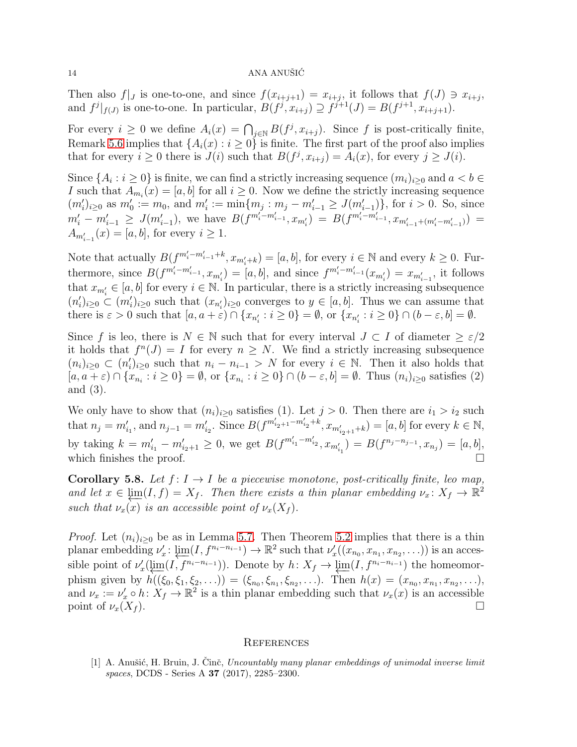### $14$  ANA ANUŠIĆ

Then also  $f|_J$  is one-to-one, and since  $f(x_{i+j+1}) = x_{i+j}$ , it follows that  $f(J) \ni x_{i+j}$ , and  $f^j|_{f(J)}$  is one-to-one. In particular,  $B(f^j, x_{i+j}) \supseteq f^{j+1}(J) = B(f^{j+1}, x_{i+j+1}).$ 

For every  $i \geq 0$  we define  $A_i(x) = \bigcap_{j \in \mathbb{N}} B(f^j, x_{i+j})$ . Since f is post-critically finite, Remark [5.6](#page-12-0) implies that  $\{A_i(x): i \geq 0\}$  is finite. The first part of the proof also implies that for every  $i \geq 0$  there is  $J(i)$  such that  $B(f^j, x_{i+j}) = A_i(x)$ , for every  $j \geq J(i)$ .

Since  $\{A_i : i \geq 0\}$  is finite, we can find a strictly increasing sequence  $(m_i)_{i \geq 0}$  and  $a < b \in$ I such that  $A_{m_i}(x) = [a, b]$  for all  $i \geq 0$ . Now we define the strictly increasing sequence  $(m'_i)_{i\geq 0}$  as  $m'_0 := m_0$ , and  $m'_i := \min\{m_j : m_j - m'_{i-1} \geq J(m'_{i-1})\}$ , for  $i > 0$ . So, since  $m'_i - m'_{i-1} \geq J(m'_{i-1}),$  we have  $B(f^{m''_i - m'_{i-1}} , x_{m'_i}) = B(f^{m'_i - m'_{i-1}} , x_{m'_{i-1} + (m'_i - m'_{i-1})}) =$  $A_{m'_{i-1}}(x) = [a, b]$ , for every  $i \ge 1$ .

Note that actually  $B(f^{m'_i-m'_{i-1}+k}, x_{m'_i+k}) = [a, b]$ , for every  $i \in \mathbb{N}$  and every  $k \ge 0$ . Furthermore, since  $B(f^{m'_i-m'_{i-1}}, x_{m'_i}) = [a, b]$ , and since  $f^{m'_i-m'_{i-1}}(x_{m'_i}) = x_{m'_{i-1}}$ , it follows that  $x_{m'_i} \in [a, b]$  for every  $i \in \mathbb{N}$ . In particular, there is a strictly increasing subsequence  $(n'_i)_{i\geq 0} \subset (m'_i)_{i\geq 0}$  such that  $(x_{n'_i})_{i\geq 0}$  converges to  $y \in [a, b]$ . Thus we can assume that there is  $\varepsilon > 0$  such that  $[a, a + \varepsilon) \cap \{x_{n_i'} : i \ge 0\} = \emptyset$ , or  $\{x_{n_i'} : i \ge 0\} \cap (b - \varepsilon, b] = \emptyset$ .

Since f is leo, there is  $N \in \mathbb{N}$  such that for every interval  $J \subset I$  of diameter  $\geq \varepsilon/2$ it holds that  $f^{n}(J) = I$  for every  $n \geq N$ . We find a strictly increasing subsequence  $(n_i)_{i\geq 0} \subset (n'_i)_{i\geq 0}$  such that  $n_i - n_{i-1} > N$  for every  $i \in \mathbb{N}$ . Then it also holds that  $[a, a + \varepsilon) \cap \{x_{n_i} : i \ge 0\} = \emptyset$ , or  $\{x_{n_i} : i \ge 0\} \cap (b - \varepsilon, b] = \emptyset$ . Thus  $(n_i)_{i \ge 0}$  satisfies (2) and (3).

We only have to show that  $(n_i)_{i\geq 0}$  satisfies (1). Let  $j > 0$ . Then there are  $i_1 > i_2$  such that  $n_j = m'_{i_1}$ , and  $n_{j-1} = m'_{i_2}$ . Since  $B(f^{m'_{i_2+1}-m'_{i_2}+k}, x_{m'_{i_2+1}+k}) = [a, b]$  for every  $k \in \mathbb{N}$ , by taking  $k = m'_{i_1} - m'_{i_2+1} \ge 0$ , we get  $B(f^{m'_{i_1} - m'_{i_2}}, x_{m'_{i_1}}) = B(f^{n_j - n_{j-1}}, x_{n_j}) = [a, b],$ which finishes the proof.  $\Box$ 

<span id="page-13-1"></span>**Corollary 5.8.** Let  $f: I \to I$  be a piecewise monotone, post-critically finite, leo map, *and let*  $x \in \underline{\lim}(I, f) = X_f$ . Then there exists a thin planar embedding  $\nu_x \colon X_f \to \mathbb{R}^2$ *such that*  $\nu_x(x)$  *is an accessible point of*  $\nu_x(X_f)$ *.* 

*Proof.* Let  $(n_i)_{i\geq 0}$  be as in Lemma [5.7.](#page-12-1) Then Theorem [5.2](#page-10-2) implies that there is a thin planar embedding  $\nu'_x$ :  $\varprojlim(I, f^{n_i-n_{i-1}}) \to \mathbb{R}^2$  such that  $\nu'_x((x_{n_0}, x_{n_1}, x_{n_2}, \ldots))$  is an accessible point of  $\nu'_x(\lim_{t \to \infty} (I, f^{n_i - n_{i-1}}))$ . Denote by  $h: X_f \to \lim_{t \to \infty} (I, f^{n_i - n_{i-1}})$  the homeomorphism given by  $h((\xi_0, \xi_1, \xi_2, \ldots)) = (\xi_{n_0}, \xi_{n_1}, \xi_{n_2}, \ldots)$ . Then  $h(x) = (x_{n_0}, x_{n_1}, x_{n_2}, \ldots)$ , and  $\nu_x := \nu'_x \circ h: X_f \to \mathbb{R}^2$  is a thin planar embedding such that  $\nu_x(x)$  is an accessible point of  $\nu_x(X_f)$ .

### **REFERENCES**

<span id="page-13-0"></span>[1] A. Anušić, H. Bruin, J. Činč, *Uncountably many planar embeddings of unimodal inverse limit spaces*, DCDS - Series A 37 (2017), 2285–2300.